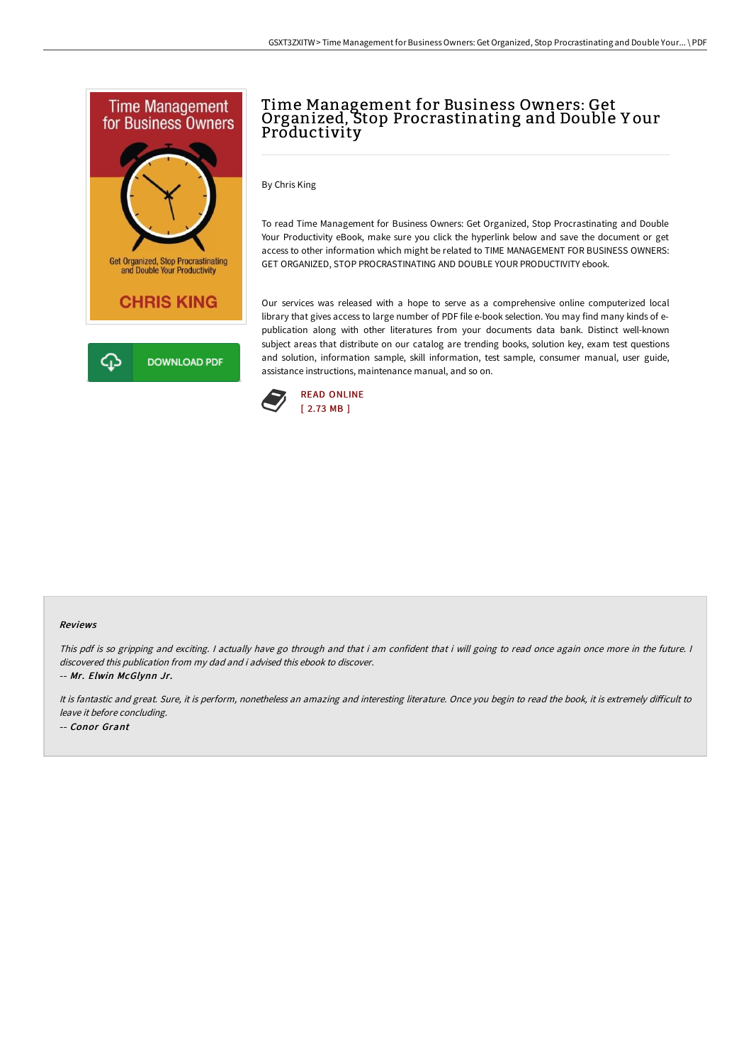

# Time Management for Business Owners: Get Organized, Stop Procrastinating and Double Y our Productivity

By Chris King

To read Time Management for Business Owners: Get Organized, Stop Procrastinating and Double Your Productivity eBook, make sure you click the hyperlink below and save the document or get access to other information which might be related to TIME MANAGEMENT FOR BUSINESS OWNERS: GET ORGANIZED, STOP PROCRASTINATING AND DOUBLE YOUR PRODUCTIVITY ebook.

Our services was released with a hope to serve as a comprehensive online computerized local library that gives access to large number of PDF file e-book selection. You may find many kinds of epublication along with other literatures from your documents data bank. Distinct well-known subject areas that distribute on our catalog are trending books, solution key, exam test questions and solution, information sample, skill information, test sample, consumer manual, user guide, assistance instructions, maintenance manual, and so on.



#### Reviews

This pdf is so gripping and exciting. I actually have go through and that i am confident that i will going to read once again once more in the future. I discovered this publication from my dad and i advised this ebook to discover. -- Mr. Elwin McGlynn Jr.

It is fantastic and great. Sure, it is perform, nonetheless an amazing and interesting literature. Once you begin to read the book, it is extremely difficult to leave it before concluding. -- Conor Grant